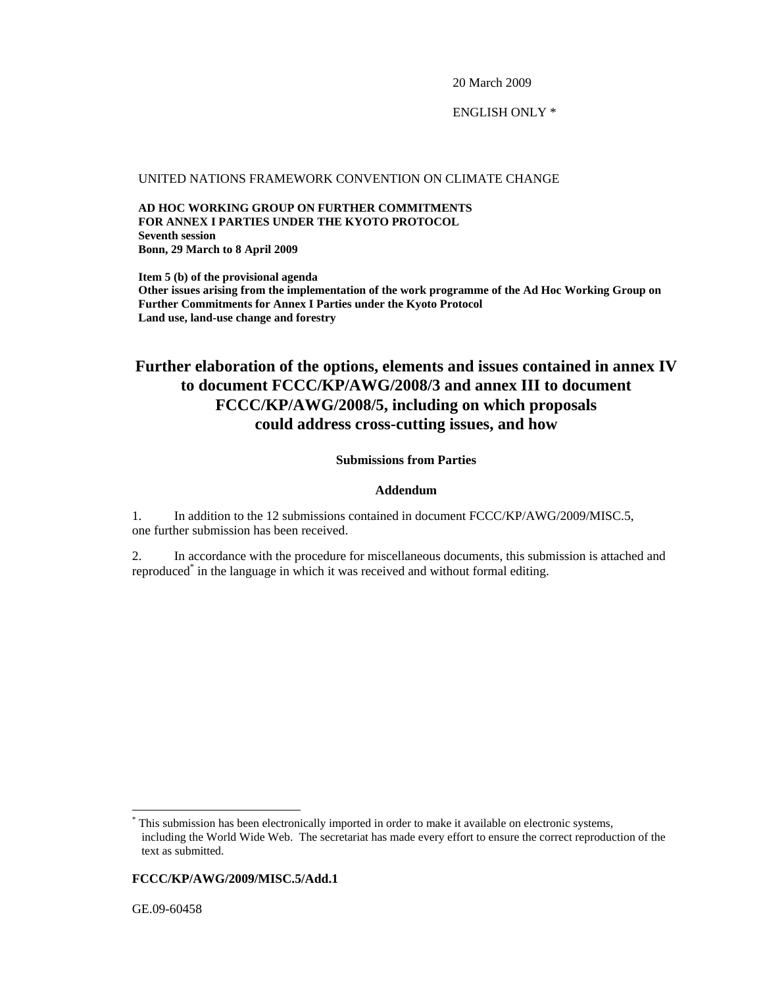20 March 2009

ENGLISH ONLY \*

### UNITED NATIONS FRAMEWORK CONVENTION ON CLIMATE CHANGE

**AD HOC WORKING GROUP ON FURTHER COMMITMENTS FOR ANNEX I PARTIES UNDER THE KYOTO PROTOCOL Seventh session Bonn, 29 March to 8 April 2009** 

**Item 5 (b) of the provisional agenda Other issues arising from the implementation of the work programme of the Ad Hoc Working Group on Further Commitments for Annex I Parties under the Kyoto Protocol Land use, land-use change and forestry** 

# **Further elaboration of the options, elements and issues contained in annex IV to document FCCC/KP/AWG/2008/3 and annex III to document FCCC/KP/AWG/2008/5, including on which proposals could address cross-cutting issues, and how**

### **Submissions from Parties**

#### **Addendum**

1. In addition to the 12 submissions contained in document FCCC/KP/AWG/2009/MISC.5, one further submission has been received.

2. In accordance with the procedure for miscellaneous documents, this submission is attached and reproduced\* in the language in which it was received and without formal editing.

# **FCCC/KP/AWG/2009/MISC.5/Add.1**

GE.09-60458

l

<sup>\*</sup> This submission has been electronically imported in order to make it available on electronic systems, including the World Wide Web. The secretariat has made every effort to ensure the correct reproduction of the text as submitted.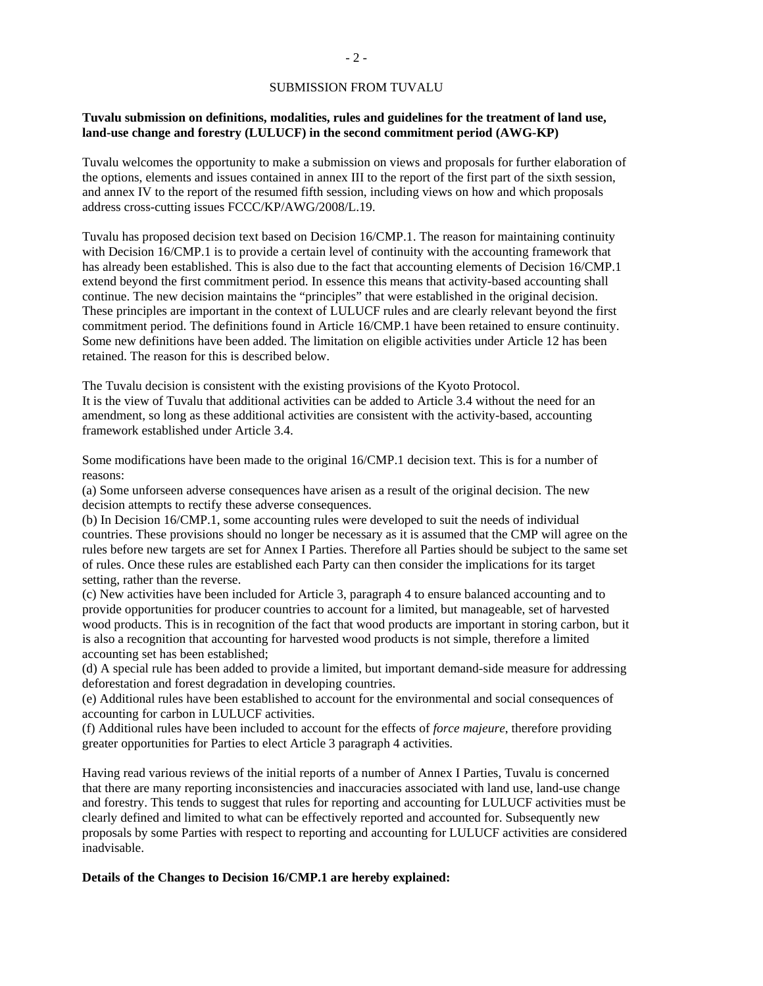#### SUBMISSION FROM TUVALU

### **Tuvalu submission on definitions, modalities, rules and guidelines for the treatment of land use, land-use change and forestry (LULUCF) in the second commitment period (AWG-KP)**

Tuvalu welcomes the opportunity to make a submission on views and proposals for further elaboration of the options, elements and issues contained in annex III to the report of the first part of the sixth session, and annex IV to the report of the resumed fifth session, including views on how and which proposals address cross-cutting issues FCCC/KP/AWG/2008/L.19.

Tuvalu has proposed decision text based on Decision 16/CMP.1. The reason for maintaining continuity with Decision 16/CMP.1 is to provide a certain level of continuity with the accounting framework that has already been established. This is also due to the fact that accounting elements of Decision 16/CMP.1 extend beyond the first commitment period. In essence this means that activity-based accounting shall continue. The new decision maintains the "principles" that were established in the original decision. These principles are important in the context of LULUCF rules and are clearly relevant beyond the first commitment period. The definitions found in Article 16/CMP.1 have been retained to ensure continuity. Some new definitions have been added. The limitation on eligible activities under Article 12 has been retained. The reason for this is described below.

The Tuvalu decision is consistent with the existing provisions of the Kyoto Protocol.

It is the view of Tuvalu that additional activities can be added to Article 3.4 without the need for an amendment, so long as these additional activities are consistent with the activity-based, accounting framework established under Article 3.4.

Some modifications have been made to the original 16/CMP.1 decision text. This is for a number of reasons:

(a) Some unforseen adverse consequences have arisen as a result of the original decision. The new decision attempts to rectify these adverse consequences.

(b) In Decision 16/CMP.1, some accounting rules were developed to suit the needs of individual countries. These provisions should no longer be necessary as it is assumed that the CMP will agree on the rules before new targets are set for Annex I Parties. Therefore all Parties should be subject to the same set of rules. Once these rules are established each Party can then consider the implications for its target setting, rather than the reverse.

(c) New activities have been included for Article 3, paragraph 4 to ensure balanced accounting and to provide opportunities for producer countries to account for a limited, but manageable, set of harvested wood products. This is in recognition of the fact that wood products are important in storing carbon, but it is also a recognition that accounting for harvested wood products is not simple, therefore a limited accounting set has been established;

(d) A special rule has been added to provide a limited, but important demand-side measure for addressing deforestation and forest degradation in developing countries.

(e) Additional rules have been established to account for the environmental and social consequences of accounting for carbon in LULUCF activities.

(f) Additional rules have been included to account for the effects of *force majeure*, therefore providing greater opportunities for Parties to elect Article 3 paragraph 4 activities.

Having read various reviews of the initial reports of a number of Annex I Parties, Tuvalu is concerned that there are many reporting inconsistencies and inaccuracies associated with land use, land-use change and forestry. This tends to suggest that rules for reporting and accounting for LULUCF activities must be clearly defined and limited to what can be effectively reported and accounted for. Subsequently new proposals by some Parties with respect to reporting and accounting for LULUCF activities are considered inadvisable.

#### **Details of the Changes to Decision 16/CMP.1 are hereby explained:**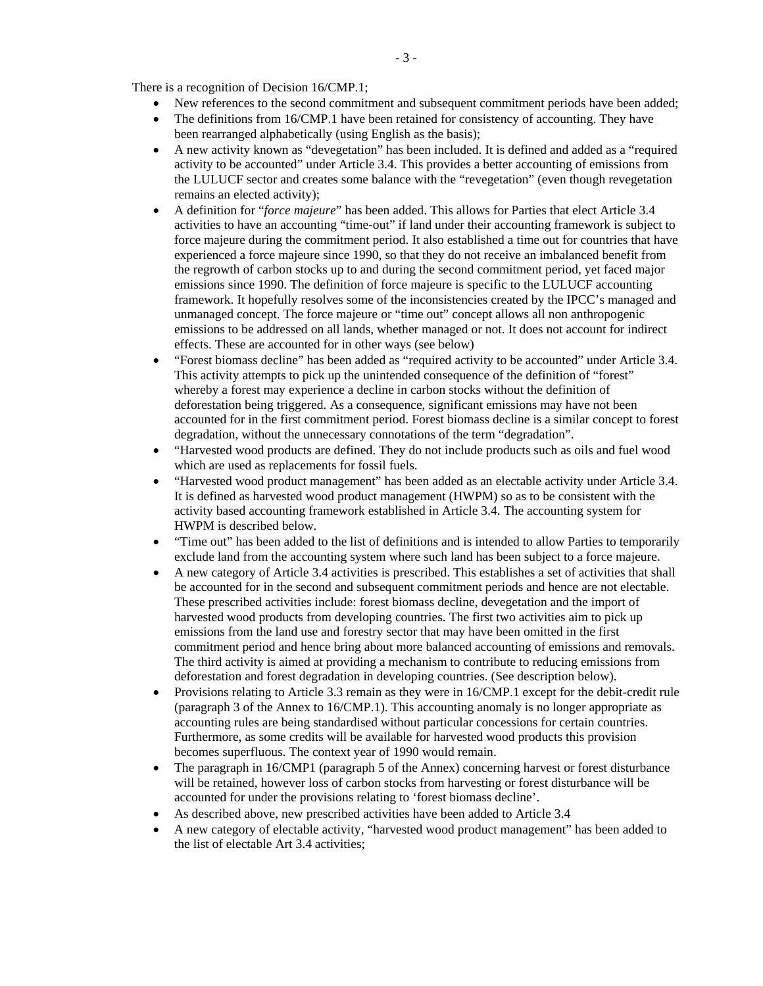There is a recognition of Decision 16/CMP.1;

- New references to the second commitment and subsequent commitment periods have been added;
- The definitions from 16/CMP.1 have been retained for consistency of accounting. They have been rearranged alphabetically (using English as the basis);
- A new activity known as "devegetation" has been included. It is defined and added as a "required activity to be accounted" under Article 3.4. This provides a better accounting of emissions from the LULUCF sector and creates some balance with the "revegetation" (even though revegetation remains an elected activity);
- A definition for "*force majeure*" has been added. This allows for Parties that elect Article 3.4 activities to have an accounting "time-out" if land under their accounting framework is subject to force majeure during the commitment period. It also established a time out for countries that have experienced a force majeure since 1990, so that they do not receive an imbalanced benefit from the regrowth of carbon stocks up to and during the second commitment period, yet faced major emissions since 1990. The definition of force majeure is specific to the LULUCF accounting framework. It hopefully resolves some of the inconsistencies created by the IPCC's managed and unmanaged concept. The force majeure or "time out" concept allows all non anthropogenic emissions to be addressed on all lands, whether managed or not. It does not account for indirect effects. These are accounted for in other ways (see below)
- "Forest biomass decline" has been added as "required activity to be accounted" under Article 3.4. This activity attempts to pick up the unintended consequence of the definition of "forest" whereby a forest may experience a decline in carbon stocks without the definition of deforestation being triggered. As a consequence, significant emissions may have not been accounted for in the first commitment period. Forest biomass decline is a similar concept to forest degradation, without the unnecessary connotations of the term "degradation".
- "Harvested wood products are defined. They do not include products such as oils and fuel wood which are used as replacements for fossil fuels.
- "Harvested wood product management" has been added as an electable activity under Article 3.4. It is defined as harvested wood product management (HWPM) so as to be consistent with the activity based accounting framework established in Article 3.4. The accounting system for HWPM is described below.
- "Time out" has been added to the list of definitions and is intended to allow Parties to temporarily exclude land from the accounting system where such land has been subject to a force majeure.
- A new category of Article 3.4 activities is prescribed. This establishes a set of activities that shall be accounted for in the second and subsequent commitment periods and hence are not electable. These prescribed activities include: forest biomass decline, devegetation and the import of harvested wood products from developing countries. The first two activities aim to pick up emissions from the land use and forestry sector that may have been omitted in the first commitment period and hence bring about more balanced accounting of emissions and removals. The third activity is aimed at providing a mechanism to contribute to reducing emissions from deforestation and forest degradation in developing countries. (See description below).
- Provisions relating to Article 3.3 remain as they were in 16/CMP.1 except for the debit-credit rule (paragraph 3 of the Annex to 16/CMP.1). This accounting anomaly is no longer appropriate as accounting rules are being standardised without particular concessions for certain countries. Furthermore, as some credits will be available for harvested wood products this provision becomes superfluous. The context year of 1990 would remain.
- The paragraph in 16/CMP1 (paragraph 5 of the Annex) concerning harvest or forest disturbance will be retained, however loss of carbon stocks from harvesting or forest disturbance will be accounted for under the provisions relating to 'forest biomass decline'.
- As described above, new prescribed activities have been added to Article 3.4
- A new category of electable activity, "harvested wood product management" has been added to the list of electable Art 3.4 activities;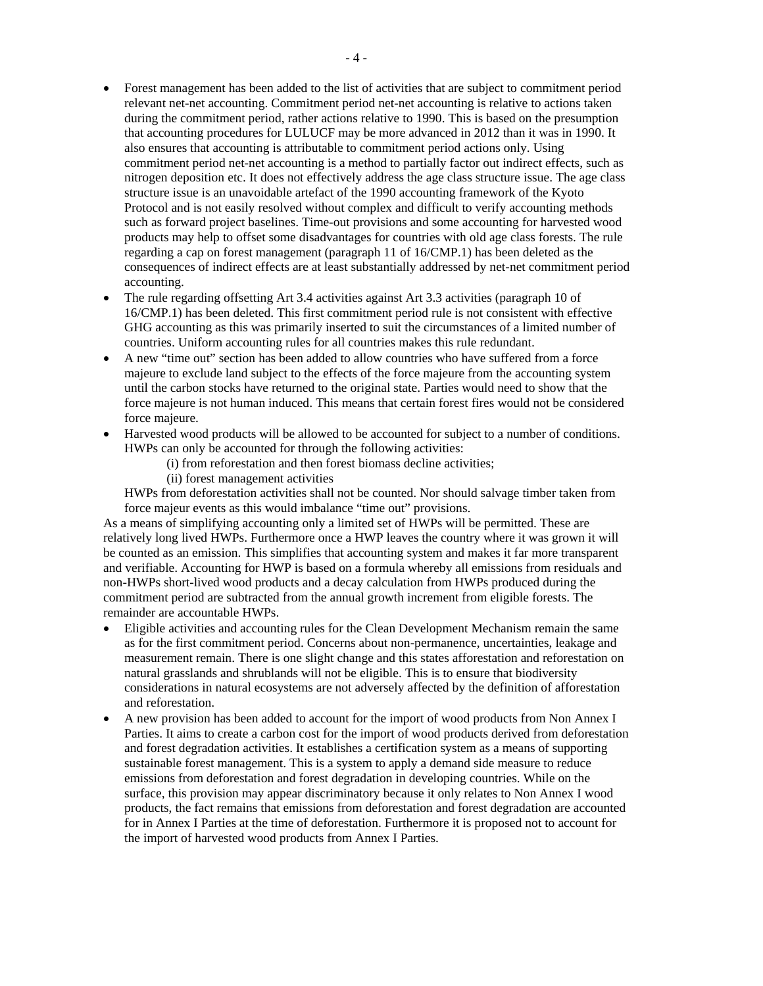- Forest management has been added to the list of activities that are subject to commitment period relevant net-net accounting. Commitment period net-net accounting is relative to actions taken during the commitment period, rather actions relative to 1990. This is based on the presumption that accounting procedures for LULUCF may be more advanced in 2012 than it was in 1990. It also ensures that accounting is attributable to commitment period actions only. Using commitment period net-net accounting is a method to partially factor out indirect effects, such as nitrogen deposition etc. It does not effectively address the age class structure issue. The age class structure issue is an unavoidable artefact of the 1990 accounting framework of the Kyoto Protocol and is not easily resolved without complex and difficult to verify accounting methods such as forward project baselines. Time-out provisions and some accounting for harvested wood products may help to offset some disadvantages for countries with old age class forests. The rule regarding a cap on forest management (paragraph 11 of 16/CMP.1) has been deleted as the consequences of indirect effects are at least substantially addressed by net-net commitment period accounting.
- The rule regarding offsetting Art 3.4 activities against Art 3.3 activities (paragraph 10 of 16/CMP.1) has been deleted. This first commitment period rule is not consistent with effective GHG accounting as this was primarily inserted to suit the circumstances of a limited number of countries. Uniform accounting rules for all countries makes this rule redundant.
- A new "time out" section has been added to allow countries who have suffered from a force majeure to exclude land subject to the effects of the force majeure from the accounting system until the carbon stocks have returned to the original state. Parties would need to show that the force majeure is not human induced. This means that certain forest fires would not be considered force majeure.
- Harvested wood products will be allowed to be accounted for subject to a number of conditions. HWPs can only be accounted for through the following activities:
	- (i) from reforestation and then forest biomass decline activities;
	- (ii) forest management activities

HWPs from deforestation activities shall not be counted. Nor should salvage timber taken from force majeur events as this would imbalance "time out" provisions.

As a means of simplifying accounting only a limited set of HWPs will be permitted. These are relatively long lived HWPs. Furthermore once a HWP leaves the country where it was grown it will be counted as an emission. This simplifies that accounting system and makes it far more transparent and verifiable. Accounting for HWP is based on a formula whereby all emissions from residuals and non-HWPs short-lived wood products and a decay calculation from HWPs produced during the commitment period are subtracted from the annual growth increment from eligible forests. The remainder are accountable HWPs.

- Eligible activities and accounting rules for the Clean Development Mechanism remain the same as for the first commitment period. Concerns about non-permanence, uncertainties, leakage and measurement remain. There is one slight change and this states afforestation and reforestation on natural grasslands and shrublands will not be eligible. This is to ensure that biodiversity considerations in natural ecosystems are not adversely affected by the definition of afforestation and reforestation.
- A new provision has been added to account for the import of wood products from Non Annex I Parties. It aims to create a carbon cost for the import of wood products derived from deforestation and forest degradation activities. It establishes a certification system as a means of supporting sustainable forest management. This is a system to apply a demand side measure to reduce emissions from deforestation and forest degradation in developing countries. While on the surface, this provision may appear discriminatory because it only relates to Non Annex I wood products, the fact remains that emissions from deforestation and forest degradation are accounted for in Annex I Parties at the time of deforestation. Furthermore it is proposed not to account for the import of harvested wood products from Annex I Parties.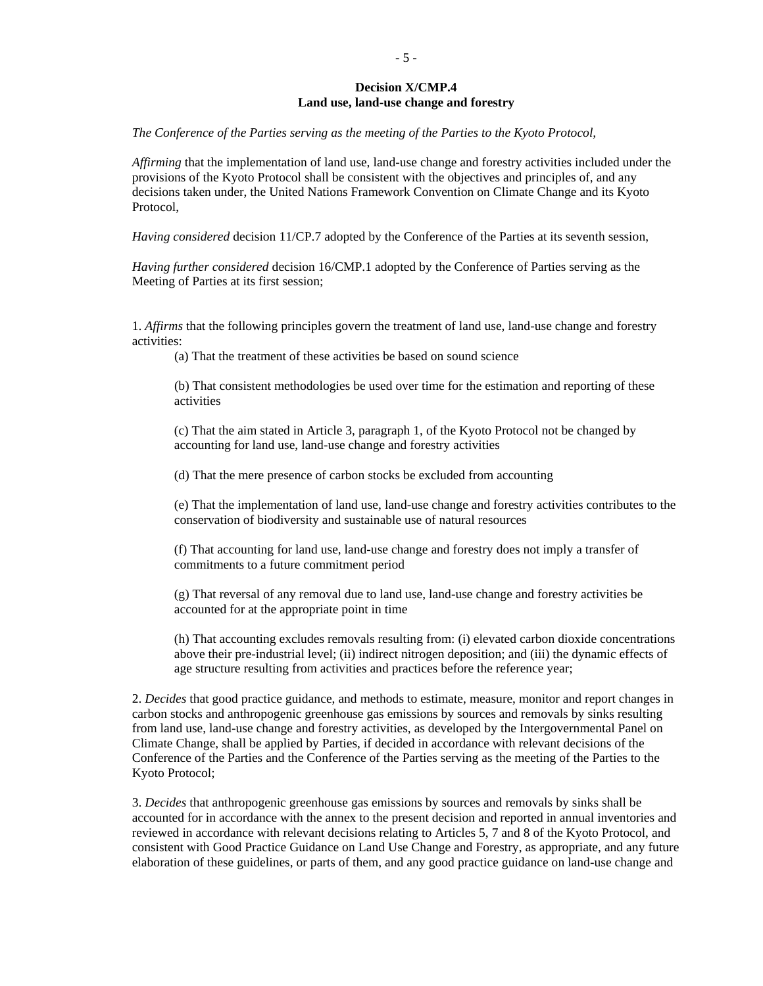# **Decision X/CMP.4 Land use, land-use change and forestry**

*The Conference of the Parties serving as the meeting of the Parties to the Kyoto Protocol,* 

*Affirming* that the implementation of land use, land-use change and forestry activities included under the provisions of the Kyoto Protocol shall be consistent with the objectives and principles of, and any decisions taken under, the United Nations Framework Convention on Climate Change and its Kyoto Protocol,

*Having considered* decision 11/CP.7 adopted by the Conference of the Parties at its seventh session,

*Having further considered* decision 16/CMP.1 adopted by the Conference of Parties serving as the Meeting of Parties at its first session;

1. *Affirms* that the following principles govern the treatment of land use, land-use change and forestry activities:

(a) That the treatment of these activities be based on sound science

(b) That consistent methodologies be used over time for the estimation and reporting of these activities

(c) That the aim stated in Article 3, paragraph 1, of the Kyoto Protocol not be changed by accounting for land use, land-use change and forestry activities

(d) That the mere presence of carbon stocks be excluded from accounting

(e) That the implementation of land use, land-use change and forestry activities contributes to the conservation of biodiversity and sustainable use of natural resources

(f) That accounting for land use, land-use change and forestry does not imply a transfer of commitments to a future commitment period

(g) That reversal of any removal due to land use, land-use change and forestry activities be accounted for at the appropriate point in time

(h) That accounting excludes removals resulting from: (i) elevated carbon dioxide concentrations above their pre-industrial level; (ii) indirect nitrogen deposition; and (iii) the dynamic effects of age structure resulting from activities and practices before the reference year;

2. *Decides* that good practice guidance, and methods to estimate, measure, monitor and report changes in carbon stocks and anthropogenic greenhouse gas emissions by sources and removals by sinks resulting from land use, land-use change and forestry activities, as developed by the Intergovernmental Panel on Climate Change, shall be applied by Parties, if decided in accordance with relevant decisions of the Conference of the Parties and the Conference of the Parties serving as the meeting of the Parties to the Kyoto Protocol;

3. *Decides* that anthropogenic greenhouse gas emissions by sources and removals by sinks shall be accounted for in accordance with the annex to the present decision and reported in annual inventories and reviewed in accordance with relevant decisions relating to Articles 5, 7 and 8 of the Kyoto Protocol, and consistent with Good Practice Guidance on Land Use Change and Forestry, as appropriate, and any future elaboration of these guidelines, or parts of them, and any good practice guidance on land-use change and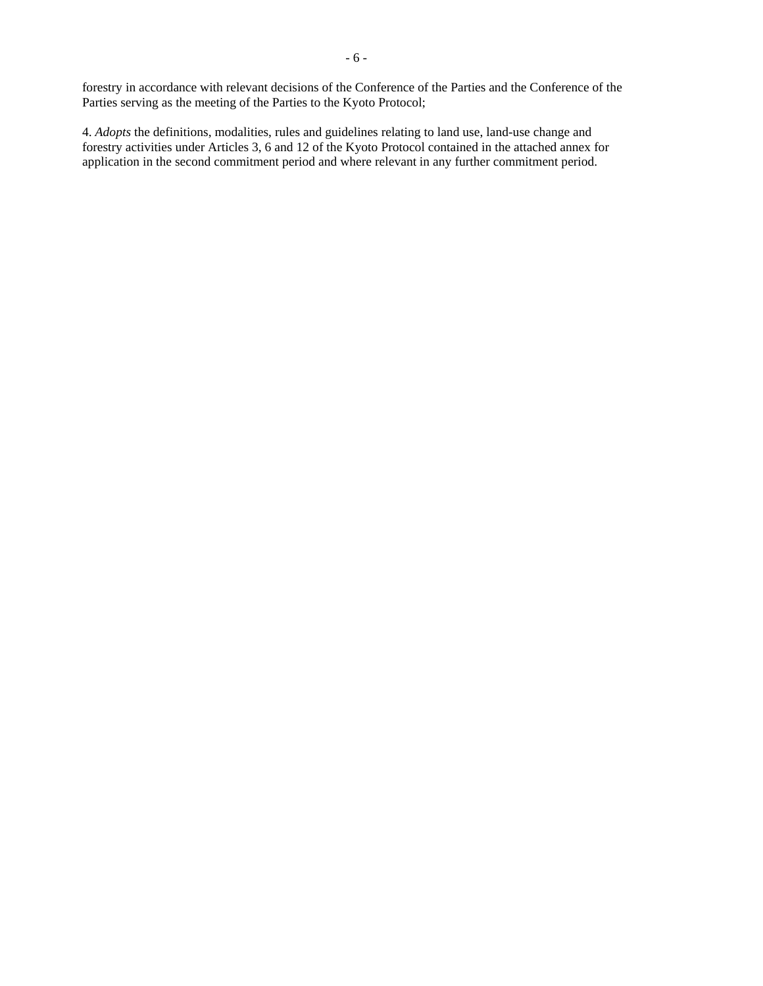Parties serving as the meeting of the Parties to the Kyoto Protocol;

- 6 -

4. *Adopts* the definitions, modalities, rules and guidelines relating to land use, land-use change and forestry activities under Articles 3, 6 and 12 of the Kyoto Protocol contained in the attached annex for application in the second commitment period and where relevant in any further commitment period.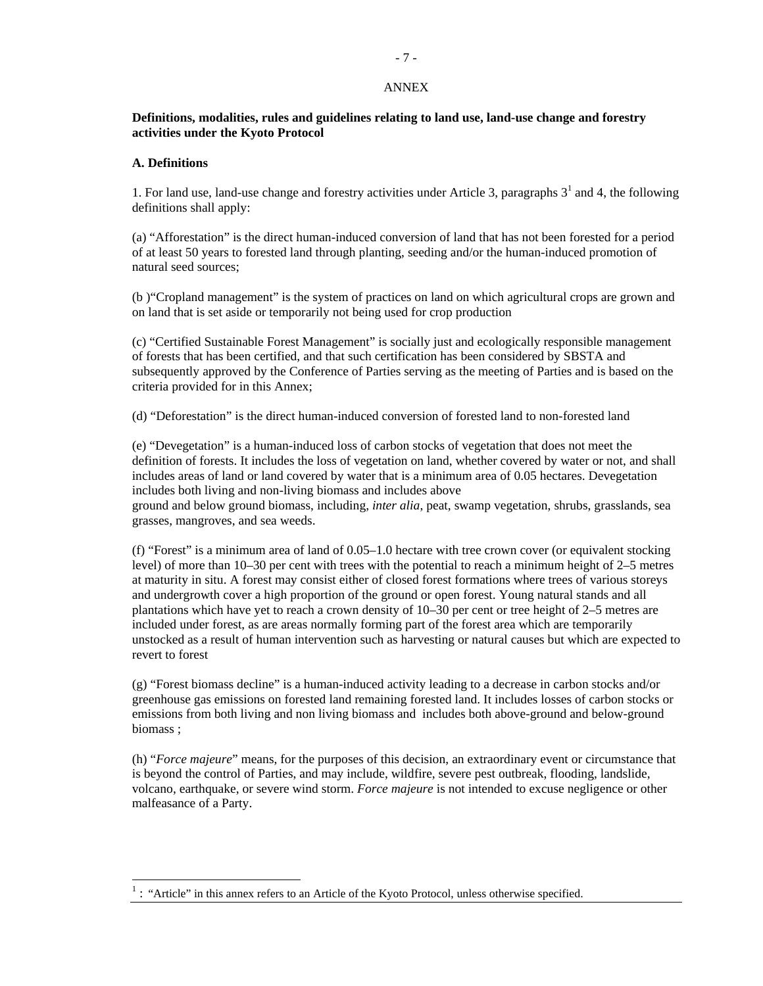### ANNEX

# **Definitions, modalities, rules and guidelines relating to land use, land-use change and forestry activities under the Kyoto Protocol**

### **A. Definitions**

 $\overline{a}$ 

1. For land use, land-use change and forestry activities under Article 3, paragraphs  $3<sup>1</sup>$  and 4, the following definitions shall apply:

(a) "Afforestation" is the direct human-induced conversion of land that has not been forested for a period of at least 50 years to forested land through planting, seeding and/or the human-induced promotion of natural seed sources;

(b )"Cropland management" is the system of practices on land on which agricultural crops are grown and on land that is set aside or temporarily not being used for crop production

(c) "Certified Sustainable Forest Management" is socially just and ecologically responsible management of forests that has been certified, and that such certification has been considered by SBSTA and subsequently approved by the Conference of Parties serving as the meeting of Parties and is based on the criteria provided for in this Annex;

(d) "Deforestation" is the direct human-induced conversion of forested land to non-forested land

(e) "Devegetation" is a human-induced loss of carbon stocks of vegetation that does not meet the definition of forests. It includes the loss of vegetation on land, whether covered by water or not, and shall includes areas of land or land covered by water that is a minimum area of 0.05 hectares. Devegetation includes both living and non-living biomass and includes above

ground and below ground biomass, including, *inter alia*, peat, swamp vegetation, shrubs, grasslands, sea grasses, mangroves, and sea weeds.

(f) "Forest" is a minimum area of land of 0.05–1.0 hectare with tree crown cover (or equivalent stocking level) of more than 10–30 per cent with trees with the potential to reach a minimum height of 2–5 metres at maturity in situ. A forest may consist either of closed forest formations where trees of various storeys and undergrowth cover a high proportion of the ground or open forest. Young natural stands and all plantations which have yet to reach a crown density of 10–30 per cent or tree height of 2–5 metres are included under forest, as are areas normally forming part of the forest area which are temporarily unstocked as a result of human intervention such as harvesting or natural causes but which are expected to revert to forest

(g) "Forest biomass decline" is a human-induced activity leading to a decrease in carbon stocks and/or greenhouse gas emissions on forested land remaining forested land. It includes losses of carbon stocks or emissions from both living and non living biomass and includes both above-ground and below-ground biomass ;

(h) "*Force majeure*" means, for the purposes of this decision, an extraordinary event or circumstance that is beyond the control of Parties, and may include, wildfire, severe pest outbreak, flooding, landslide, volcano, earthquake, or severe wind storm. *Force majeure* is not intended to excuse negligence or other malfeasance of a Party.

 $<sup>1</sup>$ : "Article" in this annex refers to an Article of the Kyoto Protocol, unless otherwise specified.</sup>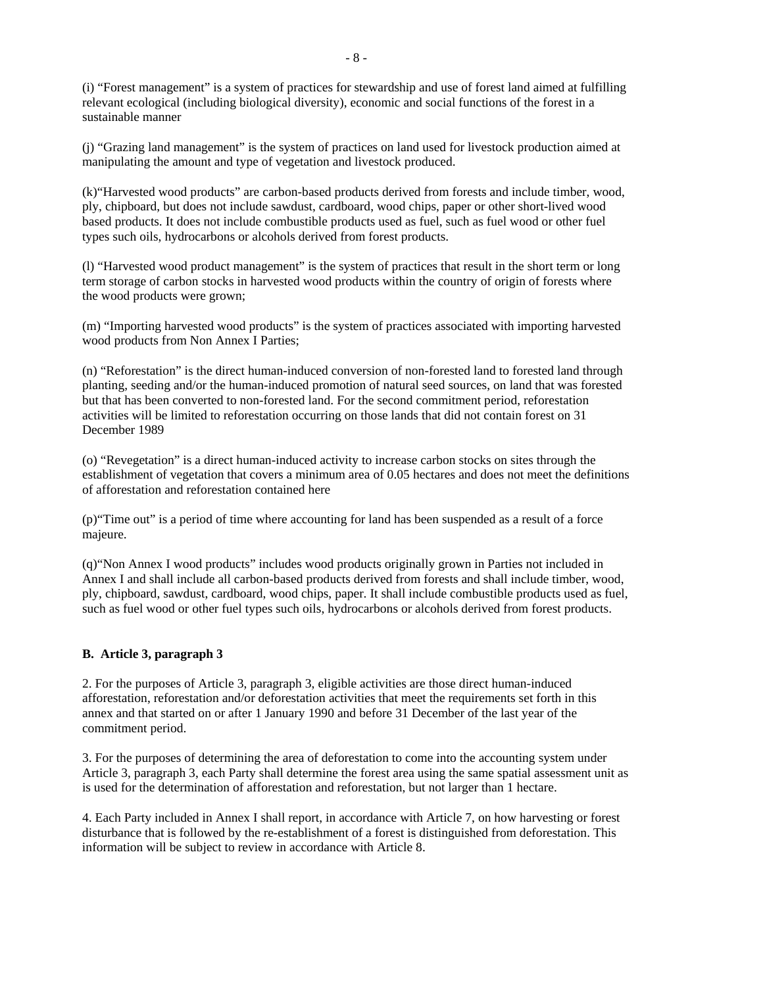(i) "Forest management" is a system of practices for stewardship and use of forest land aimed at fulfilling relevant ecological (including biological diversity), economic and social functions of the forest in a sustainable manner

(j) "Grazing land management" is the system of practices on land used for livestock production aimed at manipulating the amount and type of vegetation and livestock produced.

(k)"Harvested wood products" are carbon-based products derived from forests and include timber, wood, ply, chipboard, but does not include sawdust, cardboard, wood chips, paper or other short-lived wood based products. It does not include combustible products used as fuel, such as fuel wood or other fuel types such oils, hydrocarbons or alcohols derived from forest products.

(l) "Harvested wood product management" is the system of practices that result in the short term or long term storage of carbon stocks in harvested wood products within the country of origin of forests where the wood products were grown;

(m) "Importing harvested wood products" is the system of practices associated with importing harvested wood products from Non Annex I Parties;

(n) "Reforestation" is the direct human-induced conversion of non-forested land to forested land through planting, seeding and/or the human-induced promotion of natural seed sources, on land that was forested but that has been converted to non-forested land. For the second commitment period, reforestation activities will be limited to reforestation occurring on those lands that did not contain forest on 31 December 1989

(o) "Revegetation" is a direct human-induced activity to increase carbon stocks on sites through the establishment of vegetation that covers a minimum area of 0.05 hectares and does not meet the definitions of afforestation and reforestation contained here

(p)"Time out" is a period of time where accounting for land has been suspended as a result of a force majeure.

(q)"Non Annex I wood products" includes wood products originally grown in Parties not included in Annex I and shall include all carbon-based products derived from forests and shall include timber, wood, ply, chipboard, sawdust, cardboard, wood chips, paper. It shall include combustible products used as fuel, such as fuel wood or other fuel types such oils, hydrocarbons or alcohols derived from forest products.

### **B. Article 3, paragraph 3**

2. For the purposes of Article 3, paragraph 3, eligible activities are those direct human-induced afforestation, reforestation and/or deforestation activities that meet the requirements set forth in this annex and that started on or after 1 January 1990 and before 31 December of the last year of the commitment period.

3. For the purposes of determining the area of deforestation to come into the accounting system under Article 3, paragraph 3, each Party shall determine the forest area using the same spatial assessment unit as is used for the determination of afforestation and reforestation, but not larger than 1 hectare.

4. Each Party included in Annex I shall report, in accordance with Article 7, on how harvesting or forest disturbance that is followed by the re-establishment of a forest is distinguished from deforestation. This information will be subject to review in accordance with Article 8.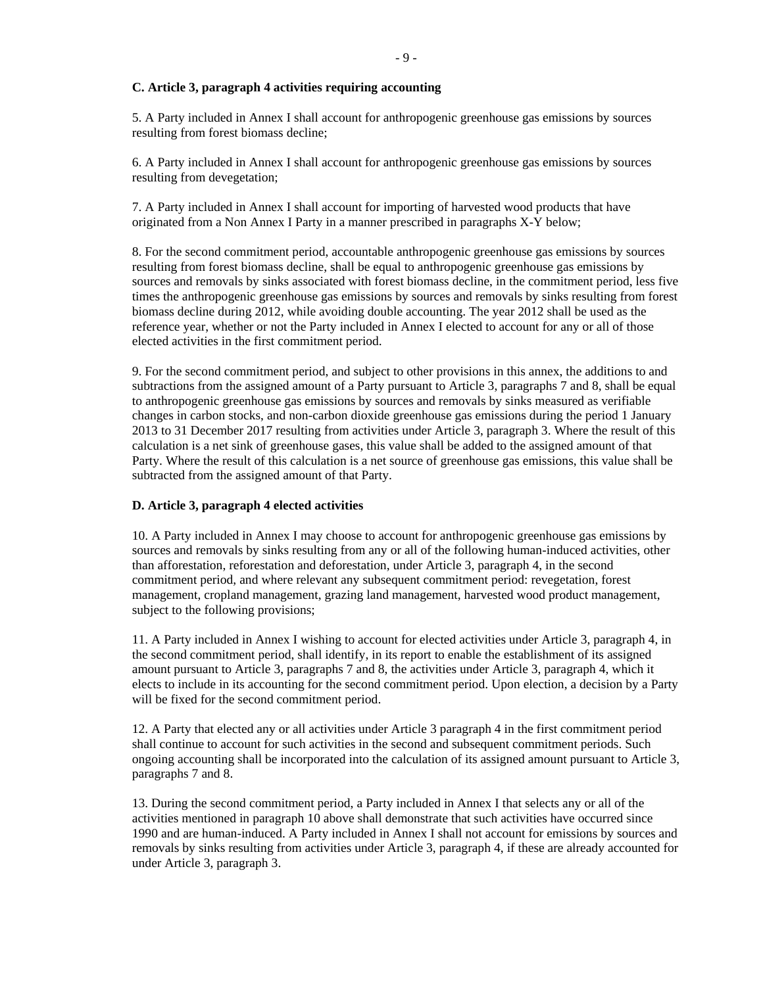### **C. Article 3, paragraph 4 activities requiring accounting**

5. A Party included in Annex I shall account for anthropogenic greenhouse gas emissions by sources resulting from forest biomass decline;

6. A Party included in Annex I shall account for anthropogenic greenhouse gas emissions by sources resulting from devegetation;

7. A Party included in Annex I shall account for importing of harvested wood products that have originated from a Non Annex I Party in a manner prescribed in paragraphs X-Y below;

8. For the second commitment period, accountable anthropogenic greenhouse gas emissions by sources resulting from forest biomass decline, shall be equal to anthropogenic greenhouse gas emissions by sources and removals by sinks associated with forest biomass decline, in the commitment period, less five times the anthropogenic greenhouse gas emissions by sources and removals by sinks resulting from forest biomass decline during 2012, while avoiding double accounting. The year 2012 shall be used as the reference year, whether or not the Party included in Annex I elected to account for any or all of those elected activities in the first commitment period.

9. For the second commitment period, and subject to other provisions in this annex, the additions to and subtractions from the assigned amount of a Party pursuant to Article 3, paragraphs 7 and 8, shall be equal to anthropogenic greenhouse gas emissions by sources and removals by sinks measured as verifiable changes in carbon stocks, and non-carbon dioxide greenhouse gas emissions during the period 1 January 2013 to 31 December 2017 resulting from activities under Article 3, paragraph 3. Where the result of this calculation is a net sink of greenhouse gases, this value shall be added to the assigned amount of that Party. Where the result of this calculation is a net source of greenhouse gas emissions, this value shall be subtracted from the assigned amount of that Party.

#### **D. Article 3, paragraph 4 elected activities**

10. A Party included in Annex I may choose to account for anthropogenic greenhouse gas emissions by sources and removals by sinks resulting from any or all of the following human-induced activities, other than afforestation, reforestation and deforestation, under Article 3, paragraph 4, in the second commitment period, and where relevant any subsequent commitment period: revegetation, forest management, cropland management, grazing land management, harvested wood product management, subject to the following provisions;

11. A Party included in Annex I wishing to account for elected activities under Article 3, paragraph 4, in the second commitment period, shall identify, in its report to enable the establishment of its assigned amount pursuant to Article 3, paragraphs 7 and 8, the activities under Article 3, paragraph 4, which it elects to include in its accounting for the second commitment period. Upon election, a decision by a Party will be fixed for the second commitment period.

12. A Party that elected any or all activities under Article 3 paragraph 4 in the first commitment period shall continue to account for such activities in the second and subsequent commitment periods. Such ongoing accounting shall be incorporated into the calculation of its assigned amount pursuant to Article 3, paragraphs 7 and 8.

13. During the second commitment period, a Party included in Annex I that selects any or all of the activities mentioned in paragraph 10 above shall demonstrate that such activities have occurred since 1990 and are human-induced. A Party included in Annex I shall not account for emissions by sources and removals by sinks resulting from activities under Article 3, paragraph 4, if these are already accounted for under Article 3, paragraph 3.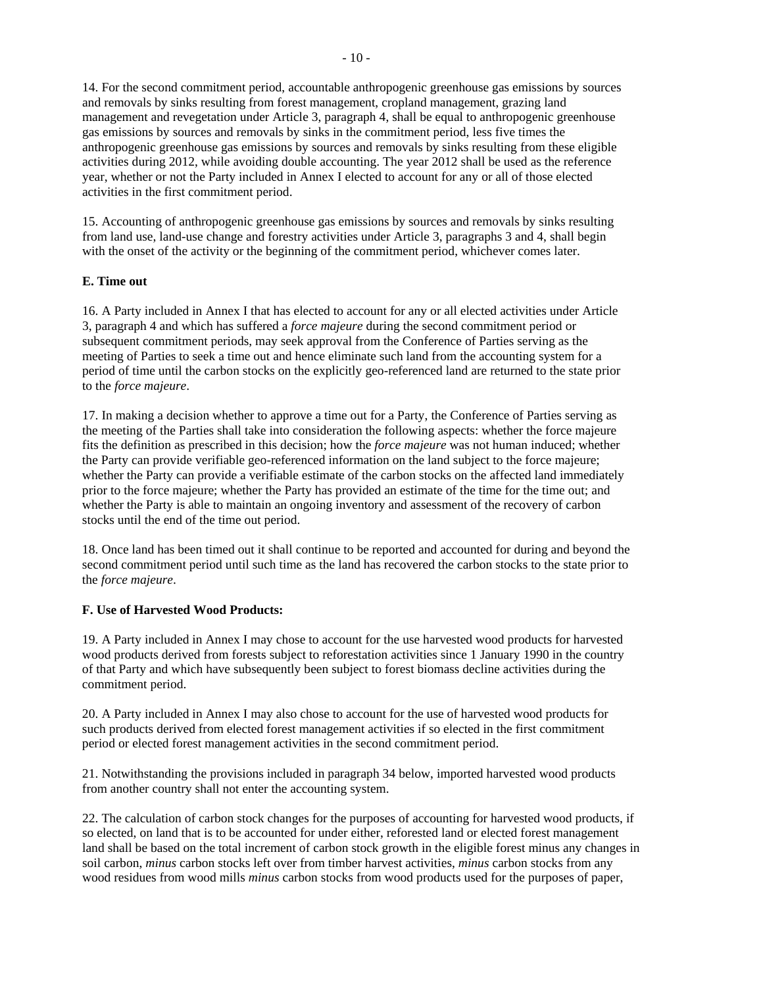14. For the second commitment period, accountable anthropogenic greenhouse gas emissions by sources and removals by sinks resulting from forest management, cropland management, grazing land management and revegetation under Article 3, paragraph 4, shall be equal to anthropogenic greenhouse gas emissions by sources and removals by sinks in the commitment period, less five times the anthropogenic greenhouse gas emissions by sources and removals by sinks resulting from these eligible activities during 2012, while avoiding double accounting. The year 2012 shall be used as the reference year, whether or not the Party included in Annex I elected to account for any or all of those elected activities in the first commitment period.

15. Accounting of anthropogenic greenhouse gas emissions by sources and removals by sinks resulting from land use, land-use change and forestry activities under Article 3, paragraphs 3 and 4, shall begin with the onset of the activity or the beginning of the commitment period, whichever comes later.

### **E. Time out**

16. A Party included in Annex I that has elected to account for any or all elected activities under Article 3, paragraph 4 and which has suffered a *force majeure* during the second commitment period or subsequent commitment periods, may seek approval from the Conference of Parties serving as the meeting of Parties to seek a time out and hence eliminate such land from the accounting system for a period of time until the carbon stocks on the explicitly geo-referenced land are returned to the state prior to the *force majeure*.

17. In making a decision whether to approve a time out for a Party, the Conference of Parties serving as the meeting of the Parties shall take into consideration the following aspects: whether the force majeure fits the definition as prescribed in this decision; how the *force majeure* was not human induced; whether the Party can provide verifiable geo-referenced information on the land subject to the force majeure; whether the Party can provide a verifiable estimate of the carbon stocks on the affected land immediately prior to the force majeure; whether the Party has provided an estimate of the time for the time out; and whether the Party is able to maintain an ongoing inventory and assessment of the recovery of carbon stocks until the end of the time out period.

18. Once land has been timed out it shall continue to be reported and accounted for during and beyond the second commitment period until such time as the land has recovered the carbon stocks to the state prior to the *force majeure*.

# **F. Use of Harvested Wood Products:**

19. A Party included in Annex I may chose to account for the use harvested wood products for harvested wood products derived from forests subject to reforestation activities since 1 January 1990 in the country of that Party and which have subsequently been subject to forest biomass decline activities during the commitment period.

20. A Party included in Annex I may also chose to account for the use of harvested wood products for such products derived from elected forest management activities if so elected in the first commitment period or elected forest management activities in the second commitment period.

21. Notwithstanding the provisions included in paragraph 34 below, imported harvested wood products from another country shall not enter the accounting system.

22. The calculation of carbon stock changes for the purposes of accounting for harvested wood products, if so elected, on land that is to be accounted for under either, reforested land or elected forest management land shall be based on the total increment of carbon stock growth in the eligible forest minus any changes in soil carbon, *minus* carbon stocks left over from timber harvest activities, *minus* carbon stocks from any wood residues from wood mills *minus* carbon stocks from wood products used for the purposes of paper,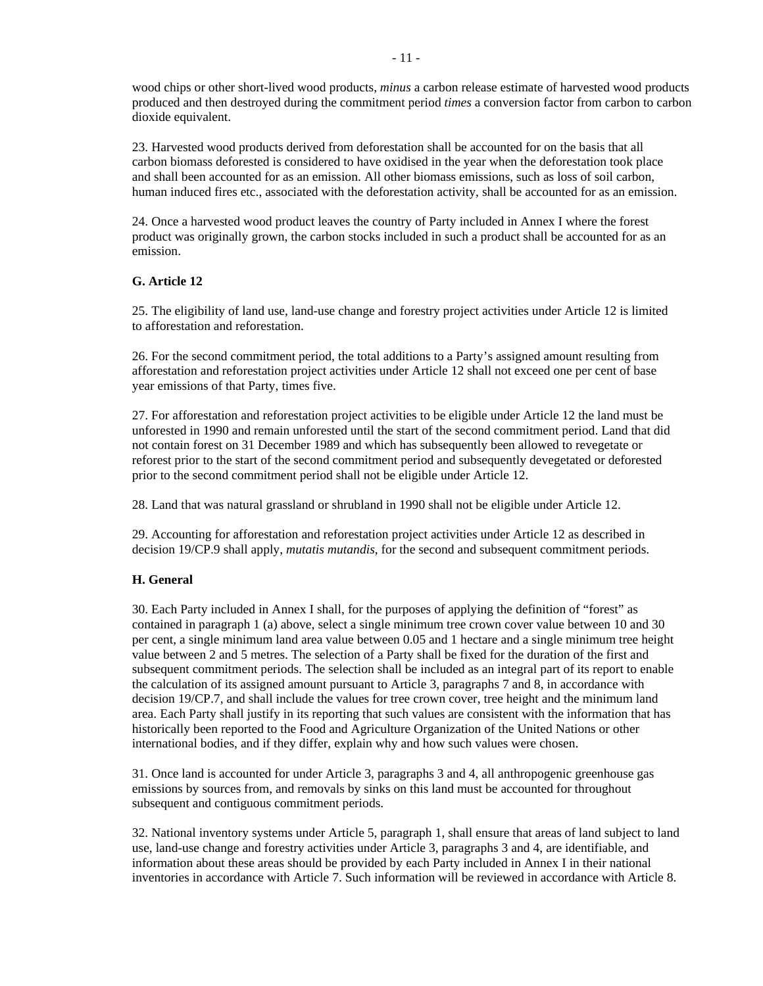wood chips or other short-lived wood products, *minus* a carbon release estimate of harvested wood products produced and then destroyed during the commitment period *times* a conversion factor from carbon to carbon dioxide equivalent.

23. Harvested wood products derived from deforestation shall be accounted for on the basis that all carbon biomass deforested is considered to have oxidised in the year when the deforestation took place and shall been accounted for as an emission. All other biomass emissions, such as loss of soil carbon, human induced fires etc., associated with the deforestation activity, shall be accounted for as an emission.

24. Once a harvested wood product leaves the country of Party included in Annex I where the forest product was originally grown, the carbon stocks included in such a product shall be accounted for as an emission.

# **G. Article 12**

25. The eligibility of land use, land-use change and forestry project activities under Article 12 is limited to afforestation and reforestation.

26. For the second commitment period, the total additions to a Party's assigned amount resulting from afforestation and reforestation project activities under Article 12 shall not exceed one per cent of base year emissions of that Party, times five.

27. For afforestation and reforestation project activities to be eligible under Article 12 the land must be unforested in 1990 and remain unforested until the start of the second commitment period. Land that did not contain forest on 31 December 1989 and which has subsequently been allowed to revegetate or reforest prior to the start of the second commitment period and subsequently devegetated or deforested prior to the second commitment period shall not be eligible under Article 12.

28. Land that was natural grassland or shrubland in 1990 shall not be eligible under Article 12.

29. Accounting for afforestation and reforestation project activities under Article 12 as described in decision 19/CP.9 shall apply, *mutatis mutandis*, for the second and subsequent commitment periods.

### **H. General**

30. Each Party included in Annex I shall, for the purposes of applying the definition of "forest" as contained in paragraph 1 (a) above, select a single minimum tree crown cover value between 10 and 30 per cent, a single minimum land area value between 0.05 and 1 hectare and a single minimum tree height value between 2 and 5 metres. The selection of a Party shall be fixed for the duration of the first and subsequent commitment periods. The selection shall be included as an integral part of its report to enable the calculation of its assigned amount pursuant to Article 3, paragraphs 7 and 8, in accordance with decision 19/CP.7, and shall include the values for tree crown cover, tree height and the minimum land area. Each Party shall justify in its reporting that such values are consistent with the information that has historically been reported to the Food and Agriculture Organization of the United Nations or other international bodies, and if they differ, explain why and how such values were chosen.

31. Once land is accounted for under Article 3, paragraphs 3 and 4, all anthropogenic greenhouse gas emissions by sources from, and removals by sinks on this land must be accounted for throughout subsequent and contiguous commitment periods.

32. National inventory systems under Article 5, paragraph 1, shall ensure that areas of land subject to land use, land-use change and forestry activities under Article 3, paragraphs 3 and 4, are identifiable, and information about these areas should be provided by each Party included in Annex I in their national inventories in accordance with Article 7. Such information will be reviewed in accordance with Article 8.